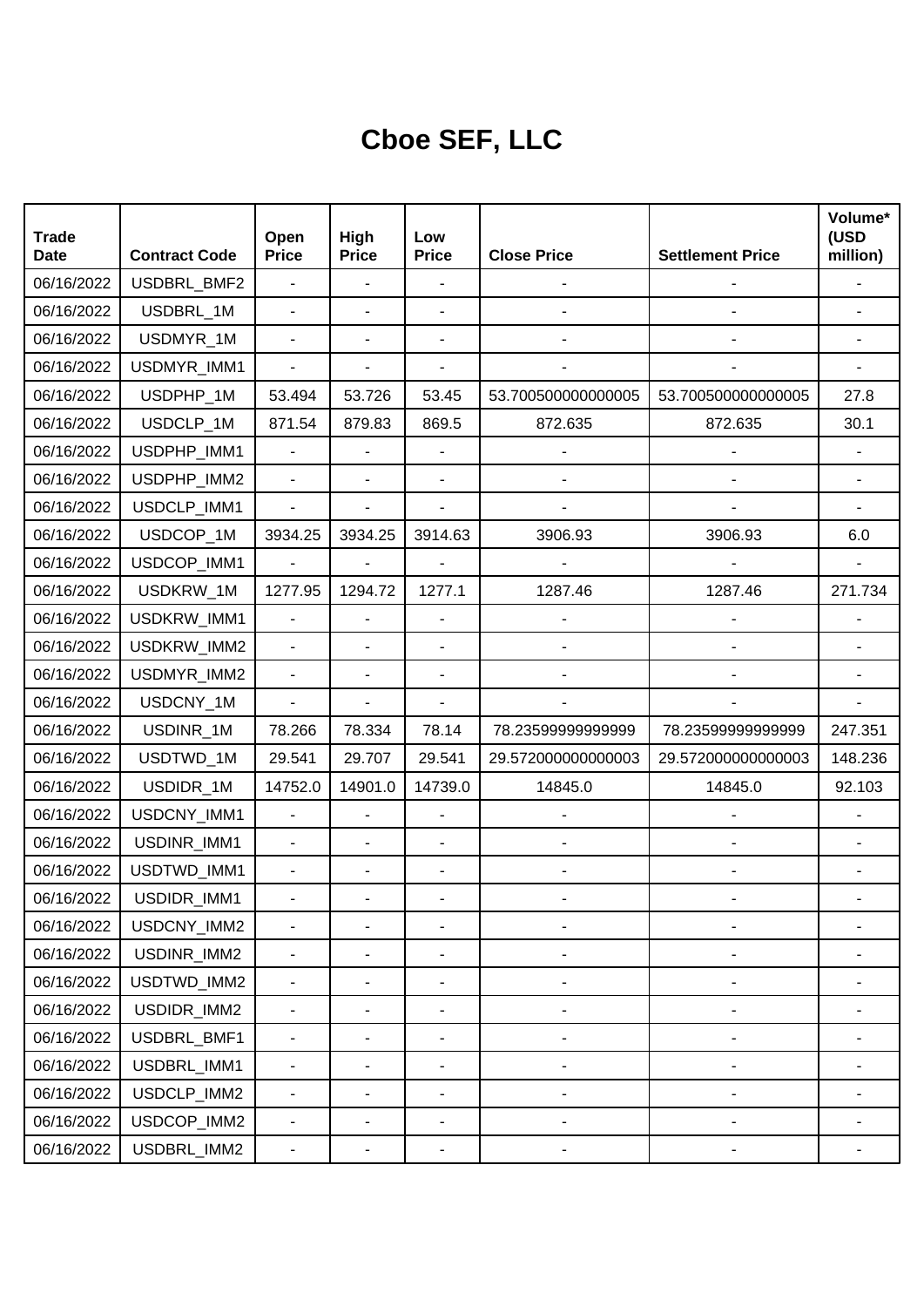## **Cboe SEF, LLC**

| <b>Trade</b><br><b>Date</b> | <b>Contract Code</b> | Open<br><b>Price</b>     | High<br><b>Price</b> | Low<br><b>Price</b>          | <b>Close Price</b>           | <b>Settlement Price</b>      | Volume*<br>(USD<br>million) |
|-----------------------------|----------------------|--------------------------|----------------------|------------------------------|------------------------------|------------------------------|-----------------------------|
| 06/16/2022                  | USDBRL_BMF2          | ÷.                       | ÷,                   | $\blacksquare$               |                              |                              |                             |
| 06/16/2022                  | USDBRL_1M            | L,                       |                      | $\overline{\phantom{a}}$     |                              |                              |                             |
| 06/16/2022                  | USDMYR_1M            | $\blacksquare$           |                      |                              |                              |                              |                             |
| 06/16/2022                  | USDMYR_IMM1          | $\overline{\phantom{0}}$ |                      |                              |                              |                              |                             |
| 06/16/2022                  | USDPHP_1M            | 53.494                   | 53.726               | 53.45                        | 53.700500000000005           | 53.700500000000005           | 27.8                        |
| 06/16/2022                  | USDCLP_1M            | 871.54                   | 879.83               | 869.5                        | 872.635                      | 872.635                      | 30.1                        |
| 06/16/2022                  | USDPHP_IMM1          | $\blacksquare$           |                      |                              |                              |                              |                             |
| 06/16/2022                  | USDPHP_IMM2          | ÷.                       | ä,                   | $\blacksquare$               |                              |                              |                             |
| 06/16/2022                  | USDCLP_IMM1          | $\blacksquare$           |                      | $\overline{\phantom{a}}$     |                              |                              |                             |
| 06/16/2022                  | USDCOP_1M            | 3934.25                  | 3934.25              | 3914.63                      | 3906.93                      | 3906.93                      | 6.0                         |
| 06/16/2022                  | USDCOP_IMM1          | $\blacksquare$           | ä,                   |                              |                              |                              |                             |
| 06/16/2022                  | USDKRW_1M            | 1277.95                  | 1294.72              | 1277.1                       | 1287.46                      | 1287.46                      | 271.734                     |
| 06/16/2022                  | USDKRW_IMM1          | $\blacksquare$           |                      |                              |                              |                              |                             |
| 06/16/2022                  | USDKRW_IMM2          | ä,                       |                      | $\overline{\phantom{a}}$     |                              |                              |                             |
| 06/16/2022                  | USDMYR_IMM2          | $\blacksquare$           |                      | $\overline{\phantom{a}}$     |                              |                              |                             |
| 06/16/2022                  | USDCNY_1M            | ÷.                       |                      |                              |                              |                              |                             |
| 06/16/2022                  | USDINR_1M            | 78.266                   | 78.334               | 78.14                        | 78.23599999999999            | 78.23599999999999            | 247.351                     |
| 06/16/2022                  | USDTWD_1M            | 29.541                   | 29.707               | 29.541                       | 29.572000000000003           | 29.572000000000003           | 148.236                     |
| 06/16/2022                  | USDIDR_1M            | 14752.0                  | 14901.0              | 14739.0                      | 14845.0                      | 14845.0                      | 92.103                      |
| 06/16/2022                  | USDCNY_IMM1          | $\overline{\phantom{0}}$ | ÷,                   | $\overline{\phantom{a}}$     |                              |                              |                             |
| 06/16/2022                  | USDINR_IMM1          | $\blacksquare$           |                      |                              |                              |                              |                             |
| 06/16/2022                  | USDTWD_IMM1          | L,                       |                      | $\overline{\phantom{a}}$     |                              |                              |                             |
| 06/16/2022                  | USDIDR_IMM1          |                          |                      |                              |                              |                              |                             |
| 06/16/2022                  | USDCNY_IMM2          |                          |                      |                              |                              |                              |                             |
| 06/16/2022                  | USDINR_IMM2          | $\frac{1}{2}$            |                      | $\overline{a}$               | $\overline{\phantom{a}}$     | $\overline{a}$               |                             |
| 06/16/2022                  | USDTWD_IMM2          | $\blacksquare$           |                      | ä,                           | $\overline{\phantom{a}}$     | $\overline{\phantom{a}}$     |                             |
| 06/16/2022                  | USDIDR_IMM2          | $\frac{1}{2}$            |                      | $\overline{\phantom{0}}$     | $\qquad \qquad \blacksquare$ | $\overline{a}$               |                             |
| 06/16/2022                  | USDBRL_BMF1          | $\blacksquare$           |                      | $\overline{a}$               | ۰                            | $\overline{a}$               |                             |
| 06/16/2022                  | USDBRL_IMM1          | $\blacksquare$           |                      | $\qquad \qquad \blacksquare$ | $\overline{\phantom{a}}$     | $\qquad \qquad \blacksquare$ |                             |
| 06/16/2022                  | USDCLP_IMM2          | $\blacksquare$           |                      | $\overline{\phantom{a}}$     | $\blacksquare$               | $\overline{\phantom{a}}$     |                             |
| 06/16/2022                  | USDCOP_IMM2          | $\frac{1}{2}$            |                      | $\overline{\phantom{0}}$     | $\qquad \qquad \blacksquare$ | $\qquad \qquad \blacksquare$ |                             |
| 06/16/2022                  | USDBRL_IMM2          | ۰                        | ٠                    | $\overline{\phantom{0}}$     | ۰                            | ۰                            |                             |